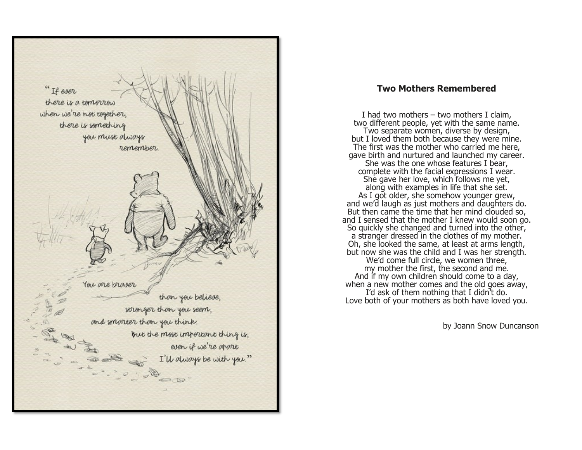

## **Two Mothers Remembered**

I had two mothers – two mothers I claim, two different people, yet with the same name. Two separate women, diverse by design, but I loved them both because they were mine. The first was the mother who carried me here, gave birth and nurtured and launched my career. She was the one whose features I bear, complete with the facial expressions I wear. She gave her love, which follows me yet, along with examples in life that she set. As I got older, she somehow younger grew, and we'd laugh as just mothers and daughters do. But then came the time that her mind clouded so, and I sensed that the mother I knew would soon go. So quickly she changed and turned into the other, a stranger dressed in the clothes of my mother. Oh, she looked the same, at least at arms length, but now she was the child and I was her strength. We'd come full circle, we women three, my mother the first, the second and me. And if my own children should come to a day, when a new mother comes and the old goes away, I'd ask of them nothing that I didn't do. Love both of your mothers as both have loved you.

by Joann Snow Duncanson